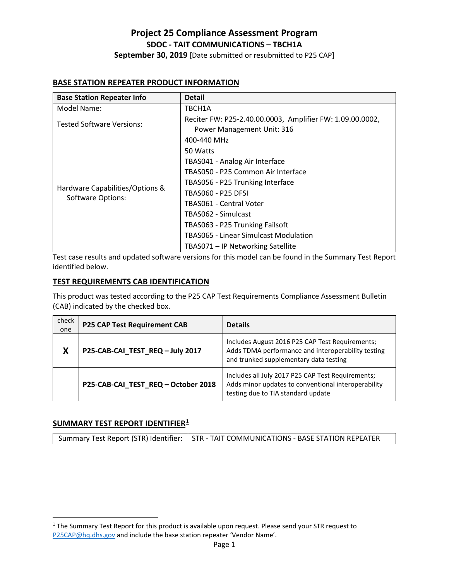# **Project 25 Compliance Assessment Program SDOC - TAIT COMMUNICATIONS – TBCH1A September 30, 2019** [Date submitted or resubmitted to P25 CAP]

#### **BASE STATION REPEATER PRODUCT INFORMATION**

| <b>Base Station Repeater Info</b>                    | <b>Detail</b>                                             |
|------------------------------------------------------|-----------------------------------------------------------|
| Model Name:                                          | TBCH1A                                                    |
| <b>Tested Software Versions:</b>                     | Reciter FW: P25-2.40.00.0003, Amplifier FW: 1.09.00.0002, |
|                                                      | Power Management Unit: 316                                |
|                                                      | 400-440 MHz                                               |
| Hardware Capabilities/Options &<br>Software Options: | 50 Watts                                                  |
|                                                      | TBAS041 - Analog Air Interface                            |
|                                                      | TBAS050 - P25 Common Air Interface                        |
|                                                      | TBAS056 - P25 Trunking Interface                          |
|                                                      | TBAS060 - P25 DFSI                                        |
|                                                      | TBAS061 - Central Voter                                   |
|                                                      | TBAS062 - Simulcast                                       |
|                                                      | TBAS063 - P25 Trunking Failsoft                           |
|                                                      | <b>TBAS065 - Linear Simulcast Modulation</b>              |
|                                                      | TBAS071 – IP Networking Satellite                         |

Test case results and updated software versions for this model can be found in the Summary Test Report identified below.

#### **TEST REQUIREMENTS CAB IDENTIFICATION**

This product was tested according to the P25 CAP Test Requirements Compliance Assessment Bulletin (CAB) indicated by the checked box.

| check<br>one | <b>P25 CAP Test Requirement CAB</b> | <b>Details</b>                                                                                                                                  |
|--------------|-------------------------------------|-------------------------------------------------------------------------------------------------------------------------------------------------|
| X            | P25-CAB-CAI_TEST_REQ - July 2017    | Includes August 2016 P25 CAP Test Requirements;<br>Adds TDMA performance and interoperability testing<br>and trunked supplementary data testing |
|              | P25-CAB-CAI_TEST_REQ-October 2018   | Includes all July 2017 P25 CAP Test Requirements;<br>Adds minor updates to conventional interoperability<br>testing due to TIA standard update  |

#### **SUMMARY TEST REPORT IDENTIFIER[1](#page-0-0)**

Summary Test Report (STR) Identifier: | STR - TAIT COMMUNICATIONS - BASE STATION REPEATER

<span id="page-0-0"></span><sup>&</sup>lt;sup>1</sup> The Summary Test Report for this product is available upon request. Please send your STR request to [P25CAP@hq.dhs.gov](mailto:P25CAP@hq.dhs.gov) and include the base station repeater 'Vendor Name'.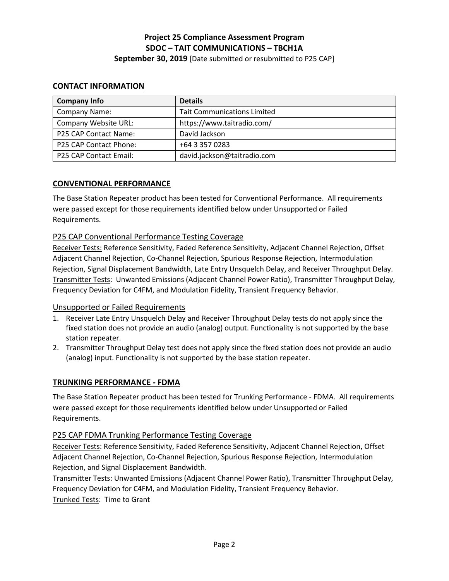**September 30, 2019** [Date submitted or resubmitted to P25 CAP]

## **CONTACT INFORMATION**

| <b>Company Info</b>    | <b>Details</b>                     |
|------------------------|------------------------------------|
| Company Name:          | <b>Tait Communications Limited</b> |
| Company Website URL:   | https://www.taitradio.com/         |
| P25 CAP Contact Name:  | David Jackson                      |
| P25 CAP Contact Phone: | +64 3 357 0283                     |
| P25 CAP Contact Email: | david.jackson@taitradio.com        |

## **CONVENTIONAL PERFORMANCE**

The Base Station Repeater product has been tested for Conventional Performance. All requirements were passed except for those requirements identified below under Unsupported or Failed Requirements.

## P25 CAP Conventional Performance Testing Coverage

Receiver Tests: Reference Sensitivity, Faded Reference Sensitivity, Adjacent Channel Rejection, Offset Adjacent Channel Rejection, Co-Channel Rejection, Spurious Response Rejection, Intermodulation Rejection, Signal Displacement Bandwidth, Late Entry Unsquelch Delay, and Receiver Throughput Delay. Transmitter Tests: Unwanted Emissions (Adjacent Channel Power Ratio), Transmitter Throughput Delay, Frequency Deviation for C4FM, and Modulation Fidelity, Transient Frequency Behavior.

## Unsupported or Failed Requirements

- 1. Receiver Late Entry Unsquelch Delay and Receiver Throughput Delay tests do not apply since the fixed station does not provide an audio (analog) output. Functionality is not supported by the base station repeater.
- 2. Transmitter Throughput Delay test does not apply since the fixed station does not provide an audio (analog) input. Functionality is not supported by the base station repeater.

## **TRUNKING PERFORMANCE - FDMA**

The Base Station Repeater product has been tested for Trunking Performance - FDMA. All requirements were passed except for those requirements identified below under Unsupported or Failed Requirements.

## P25 CAP FDMA Trunking Performance Testing Coverage

Receiver Tests: Reference Sensitivity, Faded Reference Sensitivity, Adjacent Channel Rejection, Offset Adjacent Channel Rejection, Co-Channel Rejection, Spurious Response Rejection, Intermodulation Rejection, and Signal Displacement Bandwidth.

Transmitter Tests: Unwanted Emissions (Adjacent Channel Power Ratio), Transmitter Throughput Delay, Frequency Deviation for C4FM, and Modulation Fidelity, Transient Frequency Behavior. Trunked Tests: Time to Grant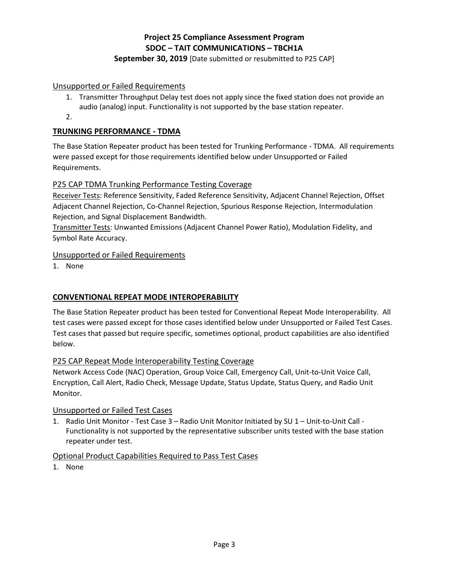# **September 30, 2019** [Date submitted or resubmitted to P25 CAP]

## Unsupported or Failed Requirements

- 1. Transmitter Throughput Delay test does not apply since the fixed station does not provide an audio (analog) input. Functionality is not supported by the base station repeater.
- 2.

# **TRUNKING PERFORMANCE - TDMA**

The Base Station Repeater product has been tested for Trunking Performance - TDMA. All requirements were passed except for those requirements identified below under Unsupported or Failed Requirements.

# P25 CAP TDMA Trunking Performance Testing Coverage

Receiver Tests: Reference Sensitivity, Faded Reference Sensitivity, Adjacent Channel Rejection, Offset Adjacent Channel Rejection, Co-Channel Rejection, Spurious Response Rejection, Intermodulation Rejection, and Signal Displacement Bandwidth.

Transmitter Tests: Unwanted Emissions (Adjacent Channel Power Ratio), Modulation Fidelity, and Symbol Rate Accuracy.

## Unsupported or Failed Requirements

1. None

# **CONVENTIONAL REPEAT MODE INTEROPERABILITY**

The Base Station Repeater product has been tested for Conventional Repeat Mode Interoperability. All test cases were passed except for those cases identified below under Unsupported or Failed Test Cases. Test cases that passed but require specific, sometimes optional, product capabilities are also identified below.

# P25 CAP Repeat Mode Interoperability Testing Coverage

Network Access Code (NAC) Operation, Group Voice Call, Emergency Call, Unit-to-Unit Voice Call, Encryption, Call Alert, Radio Check, Message Update, Status Update, Status Query, and Radio Unit Monitor.

## Unsupported or Failed Test Cases

1. Radio Unit Monitor - Test Case 3 – Radio Unit Monitor Initiated by SU 1 – Unit-to-Unit Call - Functionality is not supported by the representative subscriber units tested with the base station repeater under test.

## Optional Product Capabilities Required to Pass Test Cases

1. None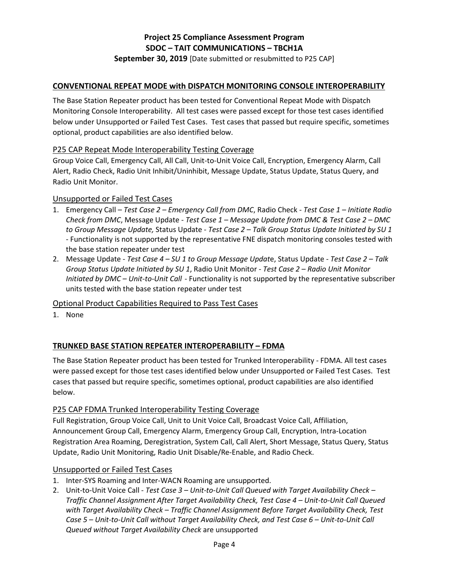**September 30, 2019** [Date submitted or resubmitted to P25 CAP]

#### **CONVENTIONAL REPEAT MODE with DISPATCH MONITORING CONSOLE INTEROPERABILITY**

The Base Station Repeater product has been tested for Conventional Repeat Mode with Dispatch Monitoring Console Interoperability. All test cases were passed except for those test cases identified below under Unsupported or Failed Test Cases. Test cases that passed but require specific, sometimes optional, product capabilities are also identified below.

#### P25 CAP Repeat Mode Interoperability Testing Coverage

Group Voice Call, Emergency Call, All Call, Unit-to-Unit Voice Call, Encryption, Emergency Alarm, Call Alert, Radio Check, Radio Unit Inhibit/Uninhibit, Message Update, Status Update, Status Query, and Radio Unit Monitor.

#### Unsupported or Failed Test Cases

- 1. Emergency Call *Test Case 2 Emergency Call from DMC*, Radio Check  *Test Case 1 Initiate Radio Check from DMC*, Message Update - *Test Case 1 – Message Update from DMC & Test Case 2 – DMC to Group Message Update,* Status Update - *Test Case 2 – Talk Group Status Update Initiated by SU 1* - Functionality is not supported by the representative FNE dispatch monitoring consoles tested with the base station repeater under test
- 2. Message Update *Test Case 4 SU 1 to Group Message Updat*e, Status Update *Test Case 2 Talk Group Status Update Initiated by SU 1*, Radio Unit Monitor - *Test Case 2 – Radio Unit Monitor Initiated by DMC – Unit-to-Unit Call* - Functionality is not supported by the representative subscriber units tested with the base station repeater under test

Optional Product Capabilities Required to Pass Test Cases

1. None

## **TRUNKED BASE STATION REPEATER INTEROPERABILITY – FDMA**

The Base Station Repeater product has been tested for Trunked Interoperability - FDMA. All test cases were passed except for those test cases identified below under Unsupported or Failed Test Cases. Test cases that passed but require specific, sometimes optional, product capabilities are also identified below.

## P25 CAP FDMA Trunked Interoperability Testing Coverage

Full Registration, Group Voice Call, Unit to Unit Voice Call, Broadcast Voice Call, Affiliation, Announcement Group Call, Emergency Alarm, Emergency Group Call, Encryption, Intra-Location Registration Area Roaming, Deregistration, System Call, Call Alert, Short Message, Status Query, Status Update, Radio Unit Monitoring, Radio Unit Disable/Re-Enable, and Radio Check.

#### Unsupported or Failed Test Cases

- 1. Inter-SYS Roaming and Inter-WACN Roaming are unsupported.
- 2. Unit-to-Unit Voice Call *Test Case 3 Unit-to-Unit Call Queued with Target Availability Check Traffic Channel Assignment After Target Availability Check, Test Case 4 – Unit-to-Unit Call Queued with Target Availability Check – Traffic Channel Assignment Before Target Availability Check, Test Case 5 – Unit-to-Unit Call without Target Availability Check, and Test Case 6 – Unit-to-Unit Call Queued without Target Availability Check* are unsupported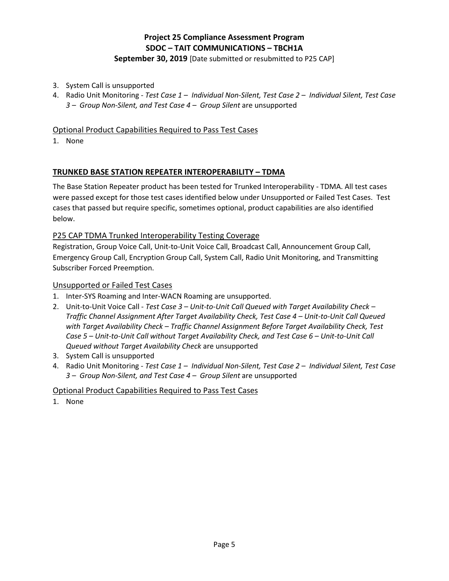## **September 30, 2019** [Date submitted or resubmitted to P25 CAP]

- 3. System Call is unsupported
- 4. Radio Unit Monitoring *Test Case 1 Individual Non-Silent, Test Case 2 Individual Silent, Test Case 3 – Group Non-Silent, and Test Case 4 – Group Silent* are unsupported

# Optional Product Capabilities Required to Pass Test Cases

1. None

## **TRUNKED BASE STATION REPEATER INTEROPERABILITY – TDMA**

The Base Station Repeater product has been tested for Trunked Interoperability - TDMA. All test cases were passed except for those test cases identified below under Unsupported or Failed Test Cases. Test cases that passed but require specific, sometimes optional, product capabilities are also identified below.

## P25 CAP TDMA Trunked Interoperability Testing Coverage

Registration, Group Voice Call, Unit-to-Unit Voice Call, Broadcast Call, Announcement Group Call, Emergency Group Call, Encryption Group Call, System Call, Radio Unit Monitoring, and Transmitting Subscriber Forced Preemption.

#### Unsupported or Failed Test Cases

- 1. Inter-SYS Roaming and Inter-WACN Roaming are unsupported.
- 2. Unit-to-Unit Voice Call *Test Case 3 Unit-to-Unit Call Queued with Target Availability Check Traffic Channel Assignment After Target Availability Check, Test Case 4 – Unit-to-Unit Call Queued with Target Availability Check – Traffic Channel Assignment Before Target Availability Check, Test Case 5 – Unit-to-Unit Call without Target Availability Check, and Test Case 6 – Unit-to-Unit Call Queued without Target Availability Check* are unsupported
- 3. System Call is unsupported
- 4. Radio Unit Monitoring *Test Case 1 Individual Non-Silent, Test Case 2 Individual Silent, Test Case 3 – Group Non-Silent, and Test Case 4 – Group Silent* are unsupported

## Optional Product Capabilities Required to Pass Test Cases

1. None